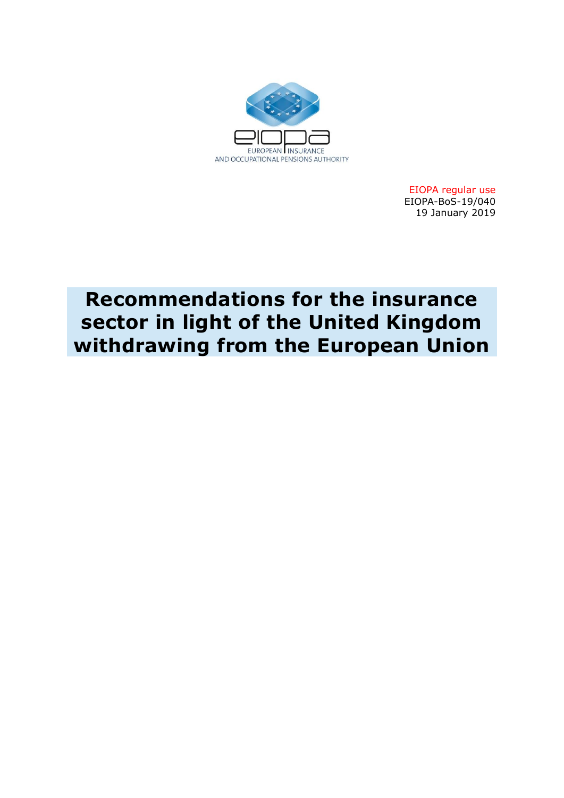

EIOPA regular use EIOPA-BoS-19/040 19 January 2019

# **Recommendations for the insurance sector in light of the United Kingdom withdrawing from the European Union**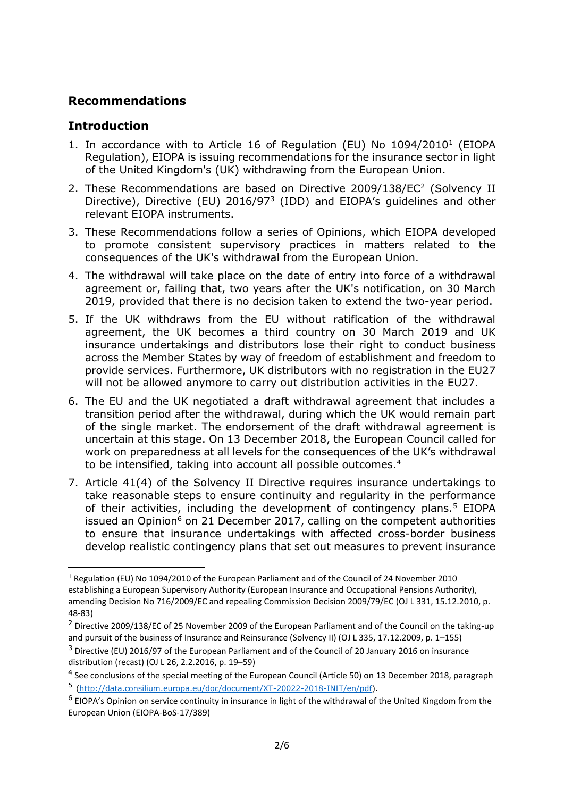## **Recommendations**

## **Introduction**

- 1. In accordance with to Article 16 of Regulation (EU) No 1094/2010<sup>1</sup> (EIOPA Regulation), EIOPA is issuing recommendations for the insurance sector in light of the United Kingdom's (UK) withdrawing from the European Union.
- 2. These Recommendations are based on Directive 2009/138/EC<sup>2</sup> (Solvency II Directive), Directive (EU) 2016/97<sup>3</sup> (IDD) and EIOPA's guidelines and other relevant EIOPA instruments.
- 3. These Recommendations follow a series of Opinions, which EIOPA developed to promote consistent supervisory practices in matters related to the consequences of the UK's withdrawal from the European Union.
- 4. The withdrawal will take place on the date of entry into force of a withdrawal agreement or, failing that, two years after the UK's notification, on 30 March 2019, provided that there is no decision taken to extend the two-year period.
- 5. If the UK withdraws from the EU without ratification of the withdrawal agreement, the UK becomes a third country on 30 March 2019 and UK insurance undertakings and distributors lose their right to conduct business across the Member States by way of freedom of establishment and freedom to provide services. Furthermore, UK distributors with no registration in the EU27 will not be allowed anymore to carry out distribution activities in the EU27.
- 6. The EU and the UK negotiated a draft withdrawal agreement that includes a transition period after the withdrawal, during which the UK would remain part of the single market. The endorsement of the draft withdrawal agreement is uncertain at this stage. On 13 December 2018, the European Council called for work on preparedness at all levels for the consequences of the UK's withdrawal to be intensified, taking into account all possible outcomes.<sup>4</sup>
- 7. Article 41(4) of the Solvency II Directive requires insurance undertakings to take reasonable steps to ensure continuity and regularity in the performance of their activities, including the development of contingency plans.<sup>5</sup> EIOPA issued an Opinion<sup>6</sup> on 21 December 2017, calling on the competent authorities to ensure that insurance undertakings with affected cross-border business develop realistic contingency plans that set out measures to prevent insurance

**<sup>.</sup>** <sup>1</sup> Regulation (EU) No 1094/2010 of the European Parliament and of the Council of 24 November 2010 establishing a European Supervisory Authority (European Insurance and Occupational Pensions Authority), amending Decision No 716/2009/EC and repealing Commission Decision 2009/79/EC (OJ L 331, 15.12.2010, p. 48-83)

<sup>2</sup> Directive 2009/138/EC of 25 November 2009 of the European Parliament and of the Council on the taking-up and pursuit of the business of Insurance and Reinsurance (Solvency II) (OJ L 335, 17.12.2009, p. 1–155)

 $3$  Directive (EU) 2016/97 of the European Parliament and of the Council of 20 January 2016 on insurance distribution (recast) (OJ L 26, 2.2.2016, p. 19–59)

<sup>&</sup>lt;sup>4</sup> See conclusions of the special meeting of the European Council (Article 50) on 13 December 2018, paragraph 5 [\(http://data.consilium.europa.eu/doc/document/XT-20022-2018-INIT/en/pdf\)](http://data.consilium.europa.eu/doc/document/XT-20022-2018-INIT/en/pdf).

<sup>&</sup>lt;sup>6</sup> EIOPA's Opinion on service continuity in insurance in light of the withdrawal of the United Kingdom from the European Union (EIOPA-BoS-17/389)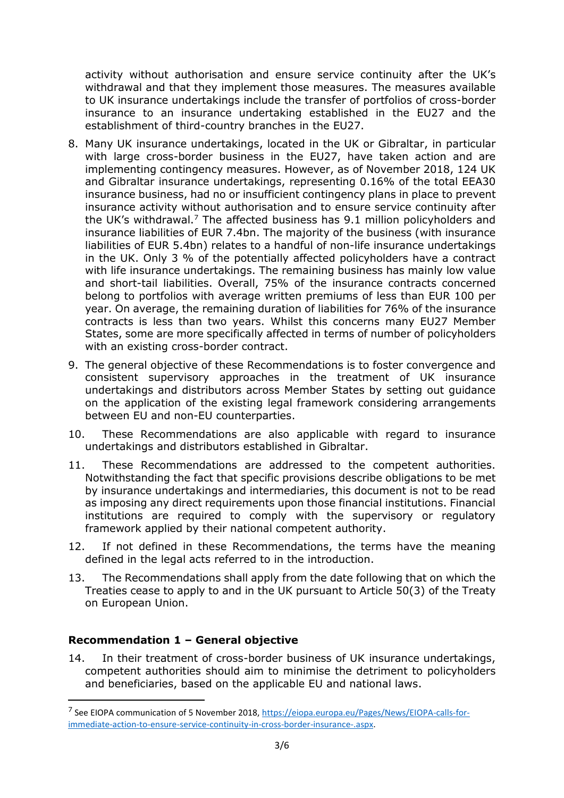activity without authorisation and ensure service continuity after the UK's withdrawal and that they implement those measures. The measures available to UK insurance undertakings include the transfer of portfolios of cross-border insurance to an insurance undertaking established in the EU27 and the establishment of third-country branches in the EU27.

- 8. Many UK insurance undertakings, located in the UK or Gibraltar, in particular with large cross-border business in the EU27, have taken action and are implementing contingency measures. However, as of November 2018, 124 UK and Gibraltar insurance undertakings, representing 0.16% of the total EEA30 insurance business, had no or insufficient contingency plans in place to prevent insurance activity without authorisation and to ensure service continuity after the UK's withdrawal.<sup>7</sup> The affected business has  $9.1$  million policyholders and insurance liabilities of EUR 7.4bn. The majority of the business (with insurance liabilities of EUR 5.4bn) relates to a handful of non-life insurance undertakings in the UK. Only 3 % of the potentially affected policyholders have a contract with life insurance undertakings. The remaining business has mainly low value and short-tail liabilities. Overall, 75% of the insurance contracts concerned belong to portfolios with average written premiums of less than EUR 100 per year. On average, the remaining duration of liabilities for 76% of the insurance contracts is less than two years. Whilst this concerns many EU27 Member States, some are more specifically affected in terms of number of policyholders with an existing cross-border contract.
- 9. The general objective of these Recommendations is to foster convergence and consistent supervisory approaches in the treatment of UK insurance undertakings and distributors across Member States by setting out guidance on the application of the existing legal framework considering arrangements between EU and non-EU counterparties.
- 10. These Recommendations are also applicable with regard to insurance undertakings and distributors established in Gibraltar.
- 11. These Recommendations are addressed to the competent authorities. Notwithstanding the fact that specific provisions describe obligations to be met by insurance undertakings and intermediaries, this document is not to be read as imposing any direct requirements upon those financial institutions. Financial institutions are required to comply with the supervisory or regulatory framework applied by their national competent authority.
- 12. If not defined in these Recommendations, the terms have the meaning defined in the legal acts referred to in the introduction.
- 13. The Recommendations shall apply from the date following that on which the Treaties cease to apply to and in the UK pursuant to Article 50(3) of the Treaty on European Union.

### **Recommendation 1 – General objective**

**.** 

14. In their treatment of cross-border business of UK insurance undertakings, competent authorities should aim to minimise the detriment to policyholders and beneficiaries, based on the applicable EU and national laws.

<sup>&</sup>lt;sup>7</sup> See EIOPA communication of 5 November 2018[, https://eiopa.europa.eu/Pages/News/EIOPA-calls-for](https://eiopa.europa.eu/Pages/News/EIOPA-calls-for-immediate-action-to-ensure-service-continuity-in-cross-border-insurance-.aspx)[immediate-action-to-ensure-service-continuity-in-cross-border-insurance-.aspx.](https://eiopa.europa.eu/Pages/News/EIOPA-calls-for-immediate-action-to-ensure-service-continuity-in-cross-border-insurance-.aspx)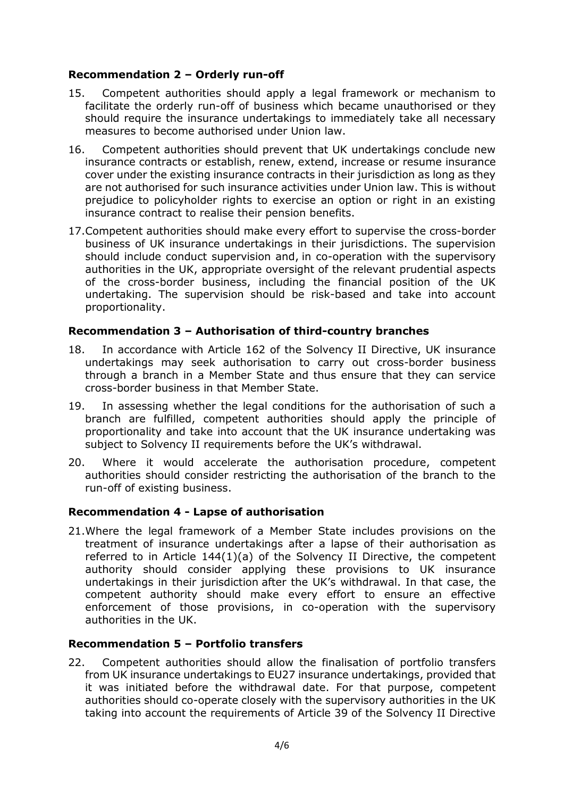## **Recommendation 2 – Orderly run-off**

- 15. Competent authorities should apply a legal framework or mechanism to facilitate the orderly run-off of business which became unauthorised or they should require the insurance undertakings to immediately take all necessary measures to become authorised under Union law.
- 16. Competent authorities should prevent that UK undertakings conclude new insurance contracts or establish, renew, extend, increase or resume insurance cover under the existing insurance contracts in their jurisdiction as long as they are not authorised for such insurance activities under Union law. This is without prejudice to policyholder rights to exercise an option or right in an existing insurance contract to realise their pension benefits.
- 17.Competent authorities should make every effort to supervise the cross-border business of UK insurance undertakings in their jurisdictions. The supervision should include conduct supervision and, in co-operation with the supervisory authorities in the UK, appropriate oversight of the relevant prudential aspects of the cross-border business, including the financial position of the UK undertaking. The supervision should be risk-based and take into account proportionality.

## **Recommendation 3 – Authorisation of third-country branches**

- 18. In accordance with Article 162 of the Solvency II Directive, UK insurance undertakings may seek authorisation to carry out cross-border business through a branch in a Member State and thus ensure that they can service cross-border business in that Member State.
- 19. In assessing whether the legal conditions for the authorisation of such a branch are fulfilled, competent authorities should apply the principle of proportionality and take into account that the UK insurance undertaking was subject to Solvency II requirements before the UK's withdrawal.
- 20. Where it would accelerate the authorisation procedure, competent authorities should consider restricting the authorisation of the branch to the run-off of existing business.

### **Recommendation 4 - Lapse of authorisation**

21.Where the legal framework of a Member State includes provisions on the treatment of insurance undertakings after a lapse of their authorisation as referred to in Article 144(1)(a) of the Solvency II Directive, the competent authority should consider applying these provisions to UK insurance undertakings in their jurisdiction after the UK's withdrawal. In that case, the competent authority should make every effort to ensure an effective enforcement of those provisions, in co-operation with the supervisory authorities in the UK.

### **Recommendation 5 – Portfolio transfers**

22. Competent authorities should allow the finalisation of portfolio transfers from UK insurance undertakings to EU27 insurance undertakings, provided that it was initiated before the withdrawal date. For that purpose, competent authorities should co-operate closely with the supervisory authorities in the UK taking into account the requirements of Article 39 of the Solvency II Directive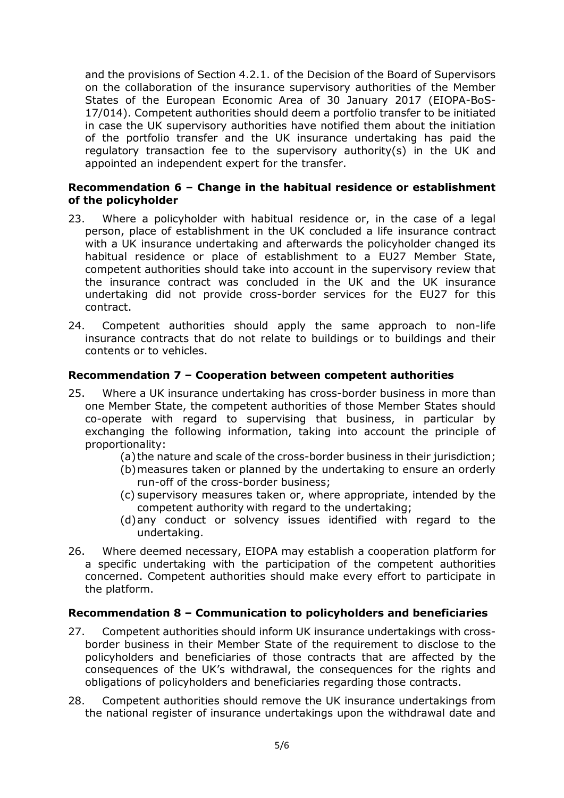and the provisions of Section 4.2.1. of the Decision of the Board of Supervisors on the collaboration of the insurance supervisory authorities of the Member States of the European Economic Area of 30 January 2017 (EIOPA-BoS-17/014). Competent authorities should deem a portfolio transfer to be initiated in case the UK supervisory authorities have notified them about the initiation of the portfolio transfer and the UK insurance undertaking has paid the regulatory transaction fee to the supervisory authority(s) in the UK and appointed an independent expert for the transfer.

#### **Recommendation 6 – Change in the habitual residence or establishment of the policyholder**

- 23. Where a policyholder with habitual residence or, in the case of a legal person, place of establishment in the UK concluded a life insurance contract with a UK insurance undertaking and afterwards the policyholder changed its habitual residence or place of establishment to a EU27 Member State, competent authorities should take into account in the supervisory review that the insurance contract was concluded in the UK and the UK insurance undertaking did not provide cross-border services for the EU27 for this contract.
- 24. Competent authorities should apply the same approach to non-life insurance contracts that do not relate to buildings or to buildings and their contents or to vehicles.

### **Recommendation 7 – Cooperation between competent authorities**

- 25. Where a UK insurance undertaking has cross-border business in more than one Member State, the competent authorities of those Member States should co-operate with regard to supervising that business, in particular by exchanging the following information, taking into account the principle of proportionality:
	- (a) the nature and scale of the cross-border business in their jurisdiction;
	- (b)measures taken or planned by the undertaking to ensure an orderly run-off of the cross-border business;
	- (c) supervisory measures taken or, where appropriate, intended by the competent authority with regard to the undertaking;
	- (d)any conduct or solvency issues identified with regard to the undertaking.
- 26. Where deemed necessary, EIOPA may establish a cooperation platform for a specific undertaking with the participation of the competent authorities concerned. Competent authorities should make every effort to participate in the platform.

#### **Recommendation 8 – Communication to policyholders and beneficiaries**

- 27. Competent authorities should inform UK insurance undertakings with crossborder business in their Member State of the requirement to disclose to the policyholders and beneficiaries of those contracts that are affected by the consequences of the UK's withdrawal, the consequences for the rights and obligations of policyholders and beneficiaries regarding those contracts.
- 28. Competent authorities should remove the UK insurance undertakings from the national register of insurance undertakings upon the withdrawal date and